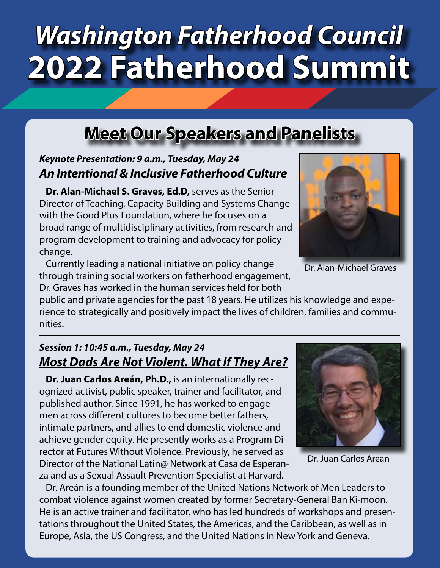## *Washington Fatherhood Council* **2022 Fatherhood Summit**

### **Meet Our Speakers and Panelists**

#### *Keynote Presentation: 9 a.m., Tuesday, May 24 An Intentional & Inclusive Fatherhood Culture*

**Dr. Alan-Michael S. Graves, Ed.D,** serves as the Senior Director of Teaching, Capacity Building and Systems Change with the Good Plus Foundation, where he focuses on a broad range of multidisciplinary activities, from research and program development to training and advocacy for policy change.

Currently leading a national initiative on policy change through training social workers on fatherhood engagement, Dr. Graves has worked in the human services field for both

public and private agencies for the past 18 years. He utilizes his knowledge and experience to strategically and positively impact the lives of children, families and communities.

#### *Session 1: 10:45 a.m., Tuesday, May 24 Most Dads Are Not Violent. What If They Are?*

**Dr. Juan Carlos Areán, Ph.D.,** is an internationally recognized activist, public speaker, trainer and facilitator, and published author. Since 1991, he has worked to engage men across different cultures to become better fathers, intimate partners, and allies to end domestic violence and achieve gender equity. He presently works as a Program Director at Futures Without Violence. Previously, he served as Director of the National Latin@ Network at Casa de Esperanza and as a Sexual Assault Prevention Specialist at Harvard.

Dr. Areán is a founding member of the United Nations Network of Men Leaders to combat violence against women created by former Secretary-General Ban Ki-moon. He is an active trainer and facilitator, who has led hundreds of workshops and presentations throughout the United States, the Americas, and the Caribbean, as well as in Europe, Asia, the US Congress, and the United Nations in New York and Geneva.

Dr. Alan-Michael Graves

Dr. Juan Carlos Arean



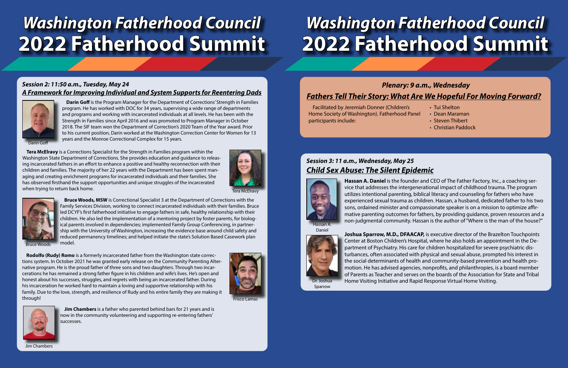### *Washington Fatherhood Council* **2022 Fatherhood Summit**

#### *Session 2: 11:50 a.m., Tuesday, May 24 A Framework for Improving Individual and System Supports for Reentering Dads*





Frisco Lamas

**Rodolfo (Rudy) Romo** is a formerly incarcerated father from the Washington state corrections system. In October 2021 he was granted early release on the Community Parenting Alternative program. He is the proud father of three sons and two daughters. Through two incarcerations he has remained a strong father figure in his children and wife's lives. He's open and honest about his successes, struggles, and regrets with being an incarcerated father. During his incarceration he worked hard to maintain a loving and supportive relationship with his family. Due to the love, strength, and resilience of Rudy and his entire family they are making it through!

Jim Chambers

**Jim Chambers** is a father who parented behind bars for 21 years and is now in the community volunteering and supporting re-entering fathers' successes.

Bruce Woods

**Bruce Woods, MSW** is Correctional Specialist 3 at the Department of Corrections with the Family Services Division, working to connect incarcerated individuals with their families. Bruce led DCYF's first fatherhood initiative to engage fathers in safe, healthy relationship with their children. He also led the implementation of a mentoring project by foster parents, for biological parents involved in dependencies; implemented Family Group Conferencing, in partnership with the University of Washington, increasing the evidence base around child safety and reduced permanency timelines; and helped initiate the state's Solution Based Casework plan model.

Tera McElravy



**Tera McElravy** is a Corrections Specialist for the Strength in Families program within the Washington State Department of Corrections. She provides education and guidance to releasing incarcerated fathers in an effort to enhance a positive and healthy reconnection with their children and families. The majority of her 22 years with the Department has been spent managing and creating enrichment programs for incarcerated individuals and their families. She has observed firsthand the support opportunities and unique struggles of the incarcerated when trying to return back home.



# *Washington Fatherhood Council* **2022 Fatherhood Summit**

#### *Session 3: 11 a.m., Wednesday, May 25 Child Sex Abuse: The Silent Epidemic*



Dr. Joshua Sparrow

**Hassan A. Daniel** is the founder and CEO of The Father Factory, Inc., a coaching service that addresses the intergenerational impact of childhood trauma. The program utilizes intentional parenting, biblical literacy and counseling for fathers who have experienced sexual trauma as children. Hassan, a husband, dedicated father to his two sons, ordained minister and compassionate speaker is on a mission to optimize affirmative parenting outcomes for fathers, by providing guidance, proven resources and a non-judgmental community. Hassan is the author of "Where is the man of the house?"

**Joshua Sparrow, M.D., DFAACAP,** is executive director of the Brazelton Touchpoints Center at Boston Children's Hospital, where he also holds an appointment in the Department of Psychiatry. His care for children hospitalized for severe psychiatric disturbances, often associated with physical and sexual abuse, prompted his interest in the social determinants of health and community-based prevention and health promotion. He has advised agencies, nonprofits, and philanthropies, is a board member of Parents as Teacher and serves on the boards of the Association for State and Tribal Home Visiting Initiative and Rapid Response Virtual Home Visiting.



Facilitated by Jeremiah Donner (Children's Home Society of Washington). Fatherhood Panel participants include:

### *Fathers Tell Their Story: What Are We Hopeful For Moving Forward? Plenary: 9 a.m., Wednesday*

- Tui Shelton
- Dean Maraman
- Steven Thibert
- Christian Paddock

Darin Goff

**Darin Goff** is the Program Manager for the Department of Corrections' Strength in Families program. He has worked with DOC for 34 years, supervising a wide range of departments and programs and working with incarcerated individuals at all levels. He has been with the Strength in Families since April 2016 and was promoted to Program Manager in October 2018. The SIF team won the Department of Correction's 2020 Team of the Year award. Prior to his current position, Darin worked at the Washington Correction Center for Women for 13 years and the Monroe Correctional Complex for 15 years.